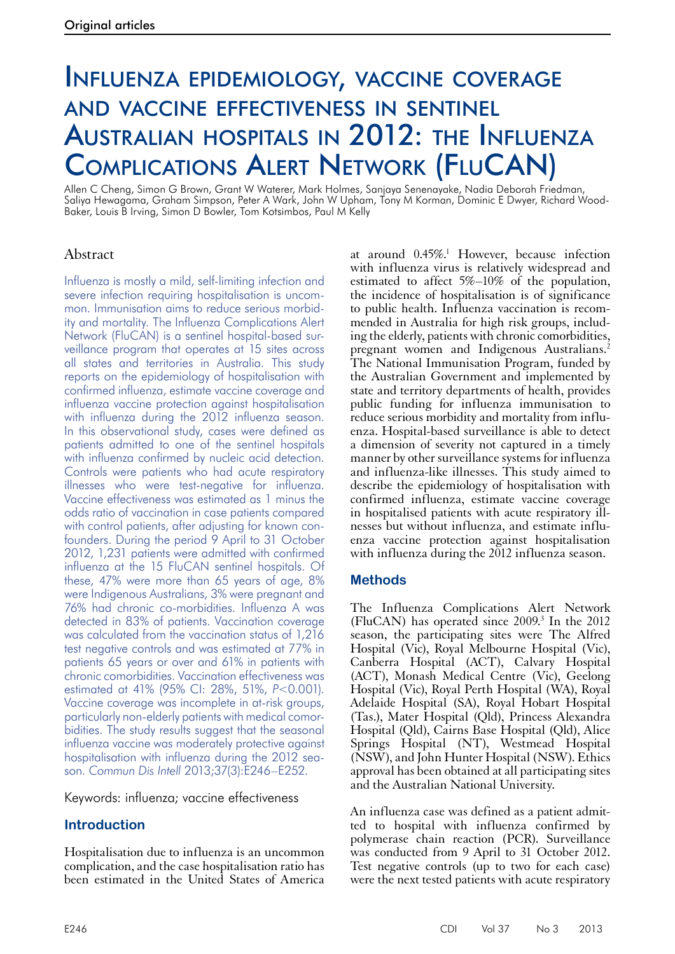# Influenza epidemiology, vaccine coverage and vaccine effectiveness in sentinel Australian hospitals in 2012: the Influenza Complications Alert Network (FluCAN)

Allen C Cheng, Simon G Brown, Grant W Waterer, Mark Holmes, Sanjaya Senenayake, Nadia Deborah Friedman, Saliya Hewagama, Graham Simpson, Peter A Wark, John W Upham, Tony M Korman, Dominic E Dwyer, Richard Wood-Baker, Louis B Irving, Simon D Bowler, Tom Kotsimbos, Paul M Kelly

# Abstract

Influenza is mostly a mild, self-limiting infection and severe infection requiring hospitalisation is uncommon. Immunisation aims to reduce serious morbidity and mortality. The Influenza Complications Alert Network (FluCAN) is a sentinel hospital-based surveillance program that operates at 15 sites across all states and territories in Australia. This study reports on the epidemiology of hospitalisation with confirmed influenza, estimate vaccine coverage and influenza vaccine protection against hospitalisation with influenza during the 2012 influenza season. In this observational study, cases were defined as patients admitted to one of the sentinel hospitals with influenza confirmed by nucleic acid detection. Controls were patients who had acute respiratory illnesses who were test-negative for influenza. Vaccine effectiveness was estimated as 1 minus the odds ratio of vaccination in case patients compared with control patients, after adjusting for known confounders. During the period 9 April to 31 October 2012, 1,231 patients were admitted with confirmed influenza at the 15 FluCAN sentinel hospitals. Of these, 47% were more than 65 years of age, 8% were Indigenous Australians, 3% were pregnant and 76% had chronic co-morbidities. Influenza A was detected in 83% of patients. Vaccination coverage was calculated from the vaccination status of 1,216 test negative controls and was estimated at 77% in patients 65 years or over and 61% in patients with chronic comorbidities. Vaccination effectiveness was estimated at 41% (95% CI: 28%, 51%, *P*<0.001). Vaccine coverage was incomplete in at-risk groups, particularly non-elderly patients with medical comorbidities. The study results suggest that the seasonal influenza vaccine was moderately protective against hospitalisation with influenza during the 2012 season. *Commun Dis Intell* 2013;37(3):E246–E252.

Keywords: influenza; vaccine effectiveness

# **Introduction**

Hospitalisation due to influenza is an uncommon complication, and the case hospitalisation ratio has been estimated in the United States of America

at around 0.45%.<sup>1</sup> However, because infection with influenza virus is relatively widespread and estimated to affect 5%–10% of the population, the incidence of hospitalisation is of significance to public health. Influenza vaccination is recommended in Australia for high risk groups, including the elderly, patients with chronic comorbidities, pregnant women and Indigenous Australians.<sup>2</sup> The National Immunisation Program, funded by the Australian Government and implemented by state and territory departments of health, provides public funding for influenza immunisation to reduce serious morbidity and mortality from influenza. Hospital-based surveillance is able to detect a dimension of severity not captured in a timely manner by other surveillance systems for influenza and influenza-like illnesses. This study aimed to describe the epidemiology of hospitalisation with confirmed influenza, estimate vaccine coverage in hospitalised patients with acute respiratory illnesses but without influenza, and estimate influ- enza vaccine protection against hospitalisation with influenza during the 2012 influenza season.

## **Methods**

The Influenza Complications Alert Network (FluCAN) has operated since 2009.3 In the 2012 season, the participating sites were The Alfred Hospital (Vic), Royal Melbourne Hospital (Vic), Canberra Hospital (ACT), Calvary Hospital (ACT), Monash Medical Centre (Vic), Geelong Hospital (Vic), Royal Perth Hospital (WA), Royal Adelaide Hospital (SA), Royal Hobart Hospital (Tas.), Mater Hospital (Qld), Princess Alexandra Hospital (Qld), Cairns Base Hospital (Qld), Alice Springs Hospital (NT), Westmead Hospital (NSW), and John Hunter Hospital (NSW). Ethics approval has been obtained at all participating sites and the Australian National University.

An influenza case was defined as a patient admitted to hospital with influenza confirmed by polymerase chain reaction (PCR). Surveillance was conducted from 9 April to 31 October 2012. Test negative controls (up to two for each case) were the next tested patients with acute respiratory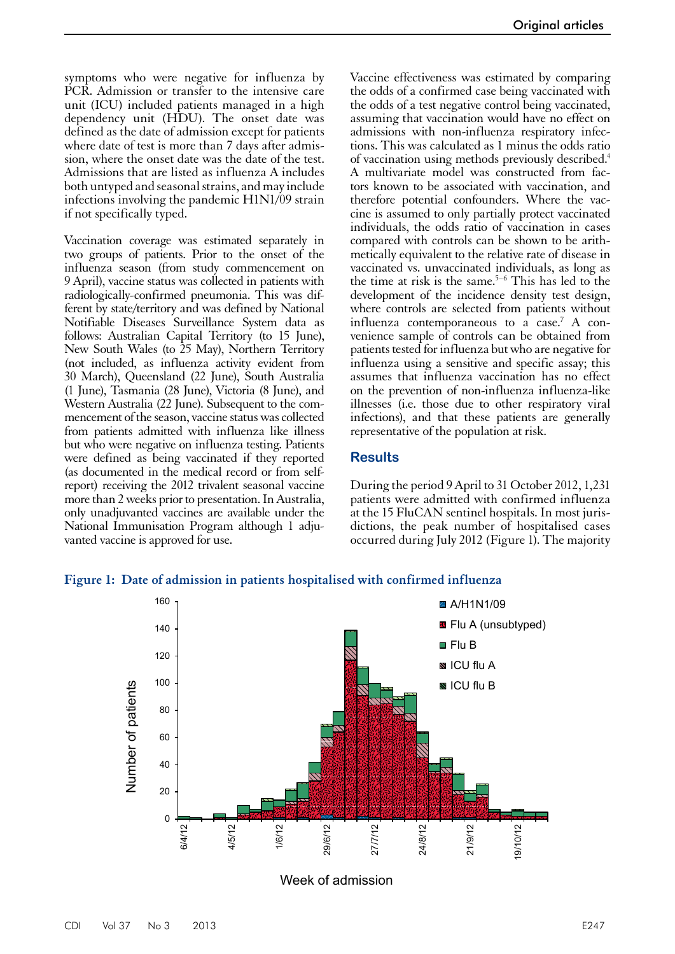symptoms who were negative for influenza by PCR. Admission or transfer to the intensive care unit (ICU) included patients managed in a high dependency unit (HDU). The onset date was defined as the date of admission except for patients where date of test is more than 7 days after admission, where the onset date was the date of the test. Admissions that are listed as influenza A includes both untyped and seasonal strains, and may include infections involving the pandemic H1N1/09 strain if not specifically typed.

Vaccination coverage was estimated separately in two groups of patients. Prior to the onset of the influenza season (from study commencement on 9 April), vaccine status was collected in patients with radiologically-confirmed pneumonia. This was different by state/territory and was defined by National Notifiable Diseases Surveillance System data as follows: Australian Capital Territory (to 15 June), New South Wales (to 25 May), Northern Territory (not included, as influenza activity evident from 30 March), Queensland (22 June), South Australia (1 June), Tasmania (28 June), Victoria (8 June), and Western Australia (22 June). Subsequent to the commencement of the season, vaccine status was collected from patients admitted with influenza like illness but who were negative on influenza testing. Patients were defined as being vaccinated if they reported (as documented in the medical record or from selfreport) receiving the 2012 trivalent seasonal vaccine more than 2 weeks prior to presentation. In Australia, only unadjuvanted vaccines are available under the National Immunisation Program although 1 adju- vanted vaccine is approved for use.

Vaccine effectiveness was estimated by comparing the odds of a confirmed case being vaccinated with the odds of a test negative control being vaccinated, assuming that vaccination would have no effect on admissions with non-influenza respiratory infections. This was calculated as 1 minus the odds ratio of vaccination using methods previously described.4 A multivariate model was constructed from factors known to be associated with vaccination, and therefore potential confounders. Where the vaccine is assumed to only partially protect vaccinated individuals, the odds ratio of vaccination in cases compared with controls can be shown to be arithmetically equivalent to the relative rate of disease in vaccinated vs. unvaccinated individuals, as long as the time at risk is the same.<sup>5-6</sup> This has led to the development of the incidence density test design, where controls are selected from patients without influenza contemporaneous to a case.<sup>7</sup> A convenience sample of controls can be obtained from patients tested for influenza but who are negative for influenza using a sensitive and specific assay; this assumes that influenza vaccination has no effect on the prevention of non-influenza influenza-like illnesses (i.e. those due to other respiratory viral infections), and that these patients are generally representative of the population at risk.

#### **Results**

During the period 9 April to 31 October 2012, 1,231 patients were admitted with confirmed influenza at the 15 FluCAN sentinel hospitals. In most jurisdictions, the peak number of hospitalised cases occurred during July 2012 (Figure 1). The majority





Week of admission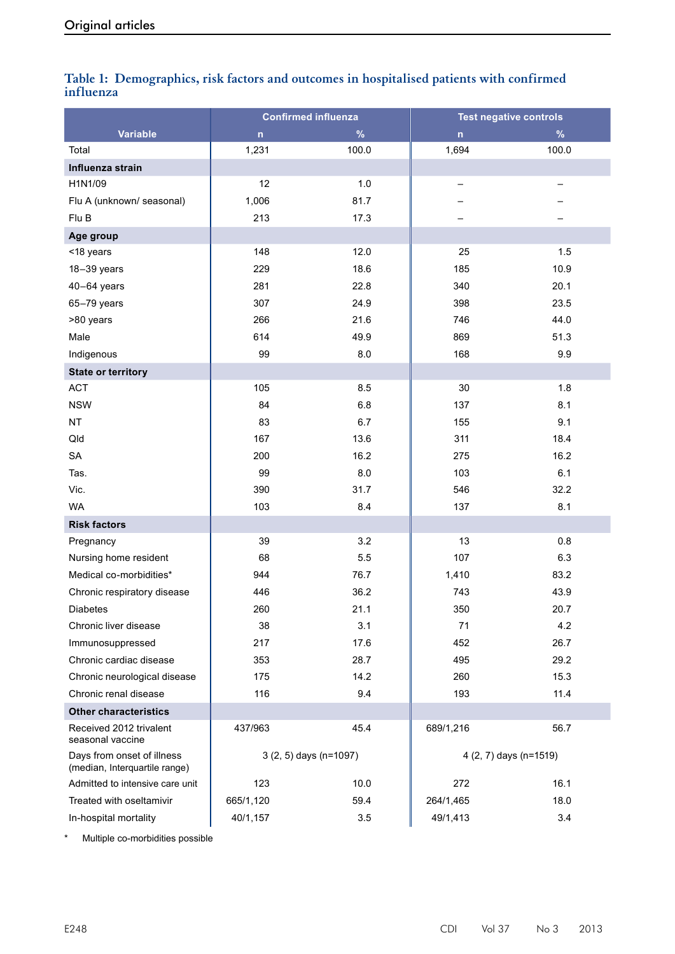| influenza | Table 1: Demographics, risk factors and outcomes in hospitalised patients with confirmed |                               |  |  |
|-----------|------------------------------------------------------------------------------------------|-------------------------------|--|--|
|           | <b>Confirmed influenza</b>                                                               | <b>Test negative controls</b> |  |  |

|                                                             | <b>Confirmed influenza</b> |       | <b>Test negative controls</b> |         |
|-------------------------------------------------------------|----------------------------|-------|-------------------------------|---------|
| <b>Variable</b>                                             | $\mathsf{n}$               | $\%$  | $\mathsf{n}$                  | $\%$    |
| Total                                                       | 1,231                      | 100.0 | 1,694                         | 100.0   |
| Influenza strain                                            |                            |       |                               |         |
| H1N1/09                                                     | 12                         | 1.0   | -                             |         |
| Flu A (unknown/ seasonal)                                   | 1,006                      | 81.7  |                               |         |
| Flu B                                                       | 213                        | 17.3  |                               |         |
| Age group                                                   |                            |       |                               |         |
| <18 years                                                   | 148                        | 12.0  | 25                            | 1.5     |
| 18-39 years                                                 | 229                        | 18.6  | 185                           | 10.9    |
| $40-64$ years                                               | 281                        | 22.8  | 340                           | 20.1    |
| 65-79 years                                                 | 307                        | 24.9  | 398                           | 23.5    |
| >80 years                                                   | 266                        | 21.6  | 746                           | 44.0    |
| Male                                                        | 614                        | 49.9  | 869                           | 51.3    |
| Indigenous                                                  | 99                         | 8.0   | 168                           | $9.9\,$ |
| <b>State or territory</b>                                   |                            |       |                               |         |
| <b>ACT</b>                                                  | 105                        | 8.5   | 30                            | 1.8     |
| <b>NSW</b>                                                  | 84                         | 6.8   | 137                           | 8.1     |
| <b>NT</b>                                                   | 83                         | 6.7   | 155                           | 9.1     |
| Qld                                                         | 167                        | 13.6  | 311                           | 18.4    |
| <b>SA</b>                                                   | 200                        | 16.2  | 275                           | 16.2    |
| Tas.                                                        | 99                         | 8.0   | 103                           | 6.1     |
| Vic.                                                        | 390                        | 31.7  | 546                           | 32.2    |
| <b>WA</b>                                                   | 103                        | 8.4   | 137                           | 8.1     |
| <b>Risk factors</b>                                         |                            |       |                               |         |
| Pregnancy                                                   | 39                         | 3.2   | 13                            | 0.8     |
| Nursing home resident                                       | 68                         | 5.5   | 107                           | 6.3     |
| Medical co-morbidities*                                     | 944                        | 76.7  | 1,410                         | 83.2    |
| Chronic respiratory disease                                 | 446                        | 36.2  | 743                           | 43.9    |
| <b>Diabetes</b>                                             | 260                        | 21.1  | 350                           | 20.7    |
| Chronic liver disease                                       | 38                         | 3.1   | 71                            | 4.2     |
| Immunosuppressed                                            | 217                        | 17.6  | 452                           | 26.7    |
| Chronic cardiac disease                                     | 353                        | 28.7  | 495                           | 29.2    |
| Chronic neurological disease                                | 175                        | 14.2  | 260                           | 15.3    |
| Chronic renal disease                                       | 116                        | 9.4   | 193                           | 11.4    |
| <b>Other characteristics</b>                                |                            |       |                               |         |
| Received 2012 trivalent<br>seasonal vaccine                 | 437/963                    | 45.4  | 689/1,216                     | 56.7    |
| Days from onset of illness<br>(median, Interquartile range) | 3 (2, 5) days (n=1097)     |       | 4 (2, 7) days (n=1519)        |         |
| Admitted to intensive care unit                             | 123                        | 10.0  | 272                           | 16.1    |
| Treated with oseltamivir                                    | 665/1,120                  | 59.4  | 264/1,465                     | 18.0    |
| In-hospital mortality                                       | 40/1,157                   | 3.5   | 49/1,413                      | 3.4     |

\* Multiple co-morbidities possible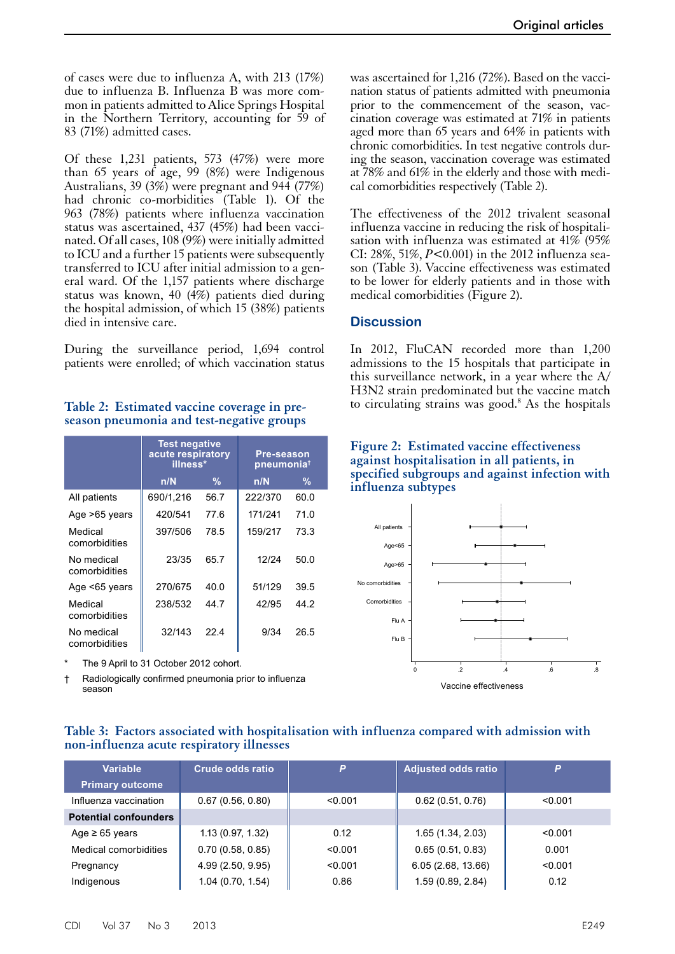of cases were due to influenza A, with 213 (17%) due to influenza B. Influenza B was more common in patients admitted to Alice Springs Hospital in the Northern Territory, accounting for 59 of 83 (71%) admitted cases.

Of these 1,231 patients, 573 (47%) were more than 65 years of age, 99 (8%) were Indigenous Australians, 39 (3%) were pregnant and 944 (77%) had chronic co-morbidities (Table 1). Of the 963 (78%) patients where influenza vaccination status was ascertained, 437 (45%) had been vaccinated. Of all cases, 108 (9%) were initially admitted to ICU and a further 15 patients were subsequently transferred to ICU after initial admission to a general ward. Of the 1,157 patients where discharge status was known, 40 (4%) patients died during the hospital admission, of which 15 (38%) patients died in intensive care.

During the surveillance period, 1,694 control patients were enrolled; of which vaccination status

## Table 2: Estimated vaccine coverage in pre-<br>to circulating strains was good.<sup>8</sup> As the hospitals **season pneumonia and test-negative groups**

|                             | <b>Test negative</b><br>acute respiratory<br>illness* |      | Pre-season<br>pneumonia <sup>t</sup> |      |
|-----------------------------|-------------------------------------------------------|------|--------------------------------------|------|
|                             | n/N                                                   | %    | n/N                                  | %    |
| All patients                | 690/1,216                                             | 56.7 | 222/370                              | 60.0 |
| Age >65 years               | 420/541                                               | 77.6 | 171/241                              | 71.0 |
| Medical<br>comorbidities    | 397/506                                               | 78.5 | 159/217                              | 73.3 |
| No medical<br>comorbidities | 23/35                                                 | 65.7 | 12/24                                | 50.0 |
| Age <65 years               | 270/675                                               | 40.0 | 51/129                               | 39.5 |
| Medical<br>comorbidities    | 238/532                                               | 44.7 | 42/95                                | 44.2 |
| No medical<br>comorbidities | 32/143                                                | 224  | 9/34                                 | 26.5 |

The 9 April to 31 October 2012 cohort.

† Radiologically confirmed pneumonia prior to influenza season

was ascertained for 1,216 (72%). Based on the vaccination status of patients admitted with pneumonia prior to the commencement of the season, vaccination coverage was estimated at 71% in patients aged more than 65 years and 64% in patients with chronic comorbidities. In test negative controls during the season, vaccination coverage was estimated at 78% and 61% in the elderly and those with medical comorbidities respectively (Table 2).

The effectiveness of the 2012 trivalent seasonal influenza vaccine in reducing the risk of hospitalisation with influenza was estimated at  $41\%$  (95%) CI: 28%, 51%, *P*<0.001) in the 2012 influenza season (Table 3). Vaccine effectiveness was estimated to be lower for elderly patients and in those with medical comorbidities (Figure 2).

## **Discussion**

In 2012, FluCAN recorded more than 1,200 admissions to the 15 hospitals that participate in this surveillance network, in a year where the A/ H3N2 strain predominated but the vaccine match

#### **Figure 2: Estimated vaccine effectiveness against hospitalisation in all patients, in specified subgroups and against infection with influenza subtypes**



#### **Table 3: Factors associated with hospitalisation with influenza compared with admission with non-influenza acute respiratory illnesses**

| Variable                     | <b>Crude odds ratio</b> | P       | <b>Adjusted odds ratio</b> | P       |
|------------------------------|-------------------------|---------|----------------------------|---------|
| <b>Primary outcome</b>       |                         |         |                            |         |
| Influenza vaccination        | 0.67(0.56, 0.80)        | < 0.001 | 0.62(0.51, 0.76)           | < 0.001 |
| <b>Potential confounders</b> |                         |         |                            |         |
| Age $\geq 65$ years          | 1.13 (0.97, 1.32)       | 0.12    | 1.65(1.34, 2.03)           | < 0.001 |
| Medical comorbidities        | 0.70(0.58, 0.85)        | < 0.001 | 0.65(0.51, 0.83)           | 0.001   |
| Pregnancy                    | 4.99 (2.50, 9.95)       | < 0.001 | 6.05 (2.68, 13.66)         | < 0.001 |
| Indigenous                   | 1.04(0.70, 1.54)        | 0.86    | 1.59 (0.89, 2.84)          | 0.12    |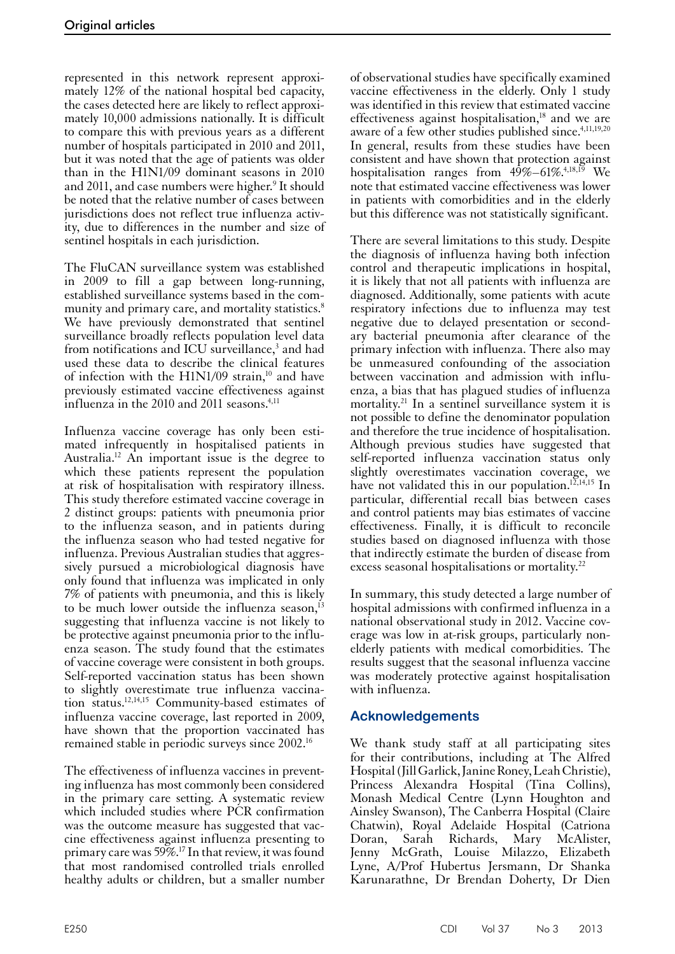represented in this network represent approximately 12% of the national hospital bed capacity, the cases detected here are likely to reflect approximately 10,000 admissions nationally. It is difficult to compare this with previous years as a different number of hospitals participated in 2010 and 2011, but it was noted that the age of patients was older than in the H1N1/09 dominant seasons in 2010 and 2011, and case numbers were higher.<sup>9</sup> It should be noted that the relative number of cases between jurisdictions does not reflect true influenza activity, due to differences in the number and size of sentinel hospitals in each jurisdiction.

The FluCAN surveillance system was established in 2009 to fill a gap between long-running, established surveillance systems based in the community and primary care, and mortality statistics.<sup>8</sup> We have previously demonstrated that sentinel surveillance broadly reflects population level data from notifications and ICU surveillance,<sup>3</sup> and had used these data to describe the clinical features of infection with the H1N1/09 strain, $10$  and have previously estimated vaccine effectiveness against influenza in the 2010 and 2011 seasons.<sup>4,11</sup>

Influenza vaccine coverage has only been estimated infrequently in hospitalised patients in Australia.12 An important issue is the degree to which these patients represent the population at risk of hospitalisation with respiratory illness. This study therefore estimated vaccine coverage in 2 distinct groups: patients with pneumonia prior to the influenza season, and in patients during the influenza season who had tested negative for influenza. Previous Australian studies that aggres- sively pursued a microbiological diagnosis have only found that influenza was implicated in only 7% of patients with pneumonia, and this is likely to be much lower outside the influenza season, $^{13}$ suggesting that influenza vaccine is not likely to be protective against pneumonia prior to the influ- enza season. The study found that the estimates of vaccine coverage were consistent in both groups. Self-reported vaccination status has been shown to slightly overestimate true influenza vaccination status.12,14,15 Community-based estimates of influenza vaccine coverage, last reported in 2009, have shown that the proportion vaccinated has remained stable in periodic surveys since 2002.16

The effectiveness of influenza vaccines in prevent- ing influenza has most commonly been considered in the primary care setting. A systematic review which included studies where PCR confirmation was the outcome measure has suggested that vaccine effectiveness against influenza presenting to primary care was 59%.17 In that review, it was found that most randomised controlled trials enrolled healthy adults or children, but a smaller number

of observational studies have specifically examined vaccine effectiveness in the elderly. Only 1 study was identified in this review that estimated vaccine effectiveness against hospitalisation, $18$  and we are aware of a few other studies published since.<sup>4,11,19,20</sup> In general, results from these studies have been consistent and have shown that protection against hospitalisation ranges from  $49\% - 61\%$ .<sup>4,18,19</sup> We note that estimated vaccine effectiveness was lower in patients with comorbidities and in the elderly but this difference was not statistically significant.

There are several limitations to this study. Despite the diagnosis of influenza having both infection control and therapeutic implications in hospital, it is likely that not all patients with influenza are diagnosed. Additionally, some patients with acute respiratory infections due to influenza may test negative due to delayed presentation or secondary bacterial pneumonia after clearance of the primary infection with influenza. There also may be unmeasured confounding of the association between vaccination and admission with influenza, a bias that has plagued studies of influenza mortality.21 In a sentinel surveillance system it is not possible to define the denominator population and therefore the true incidence of hospitalisation. Although previous studies have suggested that self-reported influenza vaccination status only slightly overestimates vaccination coverage, we have not validated this in our population.<sup>12,14,15</sup> In particular, differential recall bias between cases and control patients may bias estimates of vaccine effectiveness. Finally, it is difficult to reconcile studies based on diagnosed influenza with those that indirectly estimate the burden of disease from excess seasonal hospitalisations or mortality.<sup>22</sup>

In summary, this study detected a large number of hospital admissions with confirmed influenza in a national observational study in 2012. Vaccine cov- erage was low in at-risk groups, particularly nonelderly patients with medical comorbidities. The results suggest that the seasonal influenza vaccine was moderately protective against hospitalisation with influenza.

# **Acknowledgements**

We thank study staff at all participating sites for their contributions, including at The Alfred Hospital (Jill Garlick, Janine Roney, Leah Christie), Princess Alexandra Hospital (Tina Collins), Monash Medical Centre (Lynn Houghton and Ainsley Swanson), The Canberra Hospital (Claire Chatwin), Royal Adelaide Hospital (Catriona Doran, Sarah Richards, Mary McAlister, Jenny McGrath, Louise Milazzo, Elizabeth Lyne, A/Prof Hubertus Jersmann, Dr Shanka Karunarathne, Dr Brendan Doherty, Dr Dien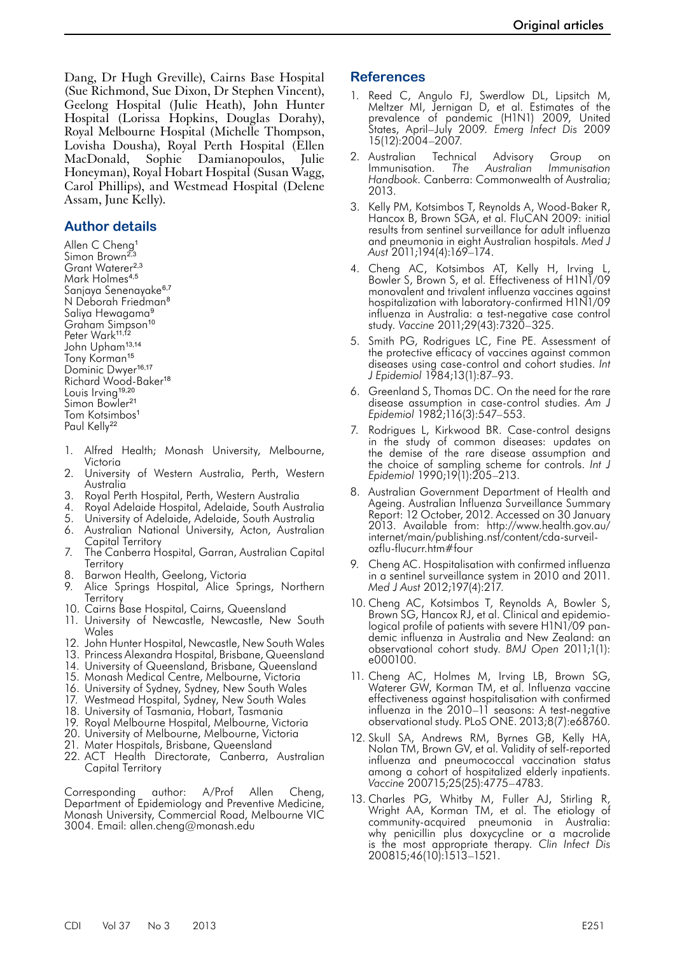Dang, Dr Hugh Greville), Cairns Base Hospital (Sue Richmond, Sue Dixon, Dr Stephen Vincent), Geelong Hospital (Julie Heath), John Hunter Hospital (Lorissa Hopkins, Douglas Dorahy), Royal Melbourne Hospital (Michelle Thompson, Lovisha Dousha), Royal Perth Hospital (Ellen MacDonald, Sophie Damianopoulos, Julie Honeyman), Royal Hobart Hospital (Susan Wagg, Carol Phillips), and Westmead Hospital (Delene Assam, June Kelly).

## **Author details**

Allen C Cheng<sup>1</sup> Simon Brown<sup>2,3</sup> Grant Waterer<sup>2,3</sup> Mark Holmes<sup>4,5</sup> Sanjaya Senenayake<sup>6,7</sup> N Deborah Friedman<sup>8</sup> Saliya Hewagama<sup>9</sup> Graham Simpson<sup>10</sup> Peter Wark<sup>11,12</sup> John Upham13,14 Tony Korman<sup>15</sup> Dominic Dwyer<sup>16,17</sup> Richard Wood-Baker<sup>18</sup> Louis Irving<sup>19,20</sup> Simon Bowler<sup>21</sup> Tom Kotsimbos<sup>1</sup> Paul Kelly<sup>22</sup>

- 1. Alfred Health; Monash University, Melbourne, Victoria
- 2. University of Western Australia, Perth, Western Australia
- 3. Royal Perth Hospital, Perth, Western Australia
- 4. Royal Adelaide Hospital, Adelaide, South Australia
- 5. University of Adelaide, Adelaide, South Australia
- 6. Australian National University, Acton, Australian Capital Territory
- 7. The Canberra Hospital, Garran, Australian Capital **Territory**
- 8. Barwon Health, Geelong, Victoria
- 9. Alice Springs Hospital, Alice Springs, Northern **Territory**
- 10. Cairns Base Hospital, Cairns, Queensland
- 11. University of Newcastle, Newcastle, New South Wales
- 12. John Hunter Hospital, Newcastle, New South Wales
- 13. Princess Alexandra Hospital, Brisbane, Queensland
- 14. University of Queensland, Brisbane, Queensland
- 15. Monash Medical Centre, Melbourne, Victoria
- 16. University of Sydney, Sydney, New South Wales
- 17. Westmead Hospital, Sydney, New South Wales
- 18. University of Tasmania, Hobart, Tasmania
- 19. Royal Melbourne Hospital, Melbourne, Victoria
- 20. University of Melbourne, Melbourne, Victoria
- 21. Mater Hospitals, Brisbane, Queensland
- 22. ACT Health Directorate, Canberra, Australian Capital Territory

Corresponding author: A/Prof Allen Cheng, Department of Epidemiology and Preventive Medicine, Monash University, Commercial Road, Melbourne VIC 3004. Email: allen.cheng@monash.edu

#### **References**

- 1. Reed C, Angulo FJ, Swerdlow DL, Lipsitch M, Meltzer MI, Jernigan D, et al. Estimates of the prevalence of pandemic (H1N1) 2009, United States, April–July 2009. *Emerg Infect Dis* 2009 15(12):2004–2007.
- 2. Australian Technical Advisory Group on<br>Immunisation. The Australian Immunisation Immunisation. *The Australian Immunisation Handbook.* Canberra: Commonwealth of Australia; 2013.
- 3. Kelly PM, Kotsimbos T, Reynolds A, Wood-Baker R, Hancox B, Brown SGA, et al. FluCAN 2009: initial results from sentinel surveillance for adult influenza and pneumonia in eight Australian hospitals. *Med J Aust* 2011;194(4):169–174.
- 4. Cheng AC, Kotsimbos AT, Kelly H, Irving L, Bowler S, Brown S, et al. Effectiveness of H1N1/09 monovalent and trivalent influenza vaccines against hospitalization with laboratory-confirmed H1N1/09 influenza in Australia: a test-negative case control study. *Vaccine* 2011;29(43):7320–325.
- 5. Smith PG, Rodrigues LC, Fine PE. Assessment of the protective efficacy of vaccines against common diseases using case-control and cohort studies. *Int J Epidemiol* 1984;13(1):87–93.
- 6. Greenland S, Thomas DC. On the need for the rare disease assumption in case-control studies. *Am J Epidemiol* 1982;116(3):547–553.
- 7. Rodrigues L, Kirkwood BR. Case-control designs in the study of common diseases: updates on the demise of the rare disease assumption and the choice of sampling scheme for controls. *Int J Epidemiol* 1990;19(1):205–213.
- 8. Australian Government Department of Health and Ageing. Australian Influenza Surveillance Summary Report: 12 October, 2012. Accessed on 30 January 2013. Available from: http://www.health.gov.au/ internet/main/publishing.nsf/content/cda-surveilozflu-flucurr.htm#four
- 9. Cheng AC. Hospitalisation with confirmed influenza in a sentinel surveillance system in 2010 and 2011. *Med J Aust* 2012;197(4):217.
- 10. Cheng AC, Kotsimbos T, Reynolds A, Bowler S, Brown SG, Hancox RJ, et al. Clinical and epidemio-<br>logical profile of patients with severe H1N1/09 pan-<br>demic influenza in Australia and New Zealand: an observational cohort study. *BMJ Open* 2011;1(1): e000100.
- 11. Cheng AC, Holmes M, Irving LB, Brown SG, Waterer GW, Korman TM, et al. Influenza vaccine effectiveness against hospitalisation with confirmed influenza in the 2010–11 seasons: A test-negative observational study. PLoS ONE. 2013;8(7):e68760.
- 12. Skull SA, Andrews RM, Byrnes GB, Kelly HA, Nolan TM, Brown GV, et al. Validity of self-reported influenza and pneumococcal vaccination status among a cohort of hospitalized elderly inpatients. *Vaccine* 200715;25(25):4775–4783.
- 13. Charles PG, Whitby M, Fuller AJ, Stirling R, Wright AA, Korman TM, et al. The etiology of community-acquired pneumonia in Australia: why penicillin plus doxycycline or a macrolide is the most appropriate therapy. *Clin Infect Dis* 200815;46(10):1513–1521.